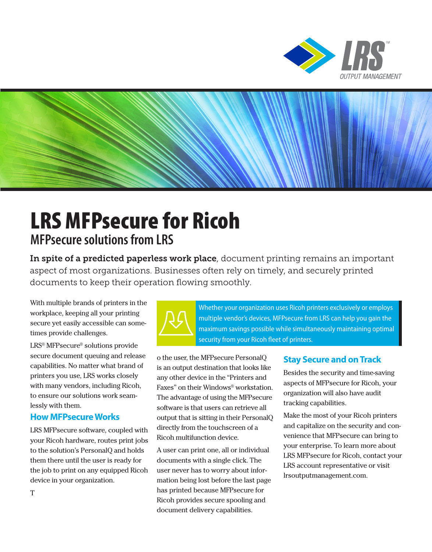



# LRS MFPsecure for Ricoh **MFPsecure solutions from LRS**

In spite of a predicted paperless work place, document printing remains an important aspect of most organizations. Businesses often rely on timely, and securely printed documents to keep their operation flowing smoothly.

With multiple brands of printers in the workplace, keeping all your printing secure yet easily accessible can sometimes provide challenges.

LRS® MFPsecure® solutions provide secure document queuing and release capabilities. No matter what brand of printers you use, LRS works closely with many vendors, including Ricoh, to ensure our solutions work seamlessly with them.

#### **How MFPsecure Works**

LRS MFPsecure software, coupled with your Ricoh hardware, routes print jobs to the solution's PersonalQ and holds them there until the user is ready for the job to print on any equipped Ricoh device in your organization.



Whether your organization uses Ricoh printers exclusively or employs multiple vendor's devices, MFPsecure from LRS can help you gain the maximum savings possible while simultaneously maintaining optimal security from your Ricoh fleet of printers.

o the user, the MFPsecure PersonalQ is an output destination that looks like any other device in the "Printers and Faxes" on their Windows® workstation. The advantage of using the MFPsecure software is that users can retrieve all output that is sitting in their PersonalQ directly from the touchscreen of a Ricoh multifunction device.

A user can print one, all or individual documents with a single click. The user never has to worry about information being lost before the last page has printed because MFPsecure for Ricoh provides secure spooling and document delivery capabilities.

#### **Stay Secure and on Track**

Besides the security and time-saving aspects of MFPsecure for Ricoh, your organization will also have audit tracking capabilities.

Make the most of your Ricoh printers and capitalize on the security and convenience that MFPsecure can bring to your enterprise. To learn more about LRS MFPsecure for Ricoh, contact your LRS account representative or visit lrsoutputmanagement.com.